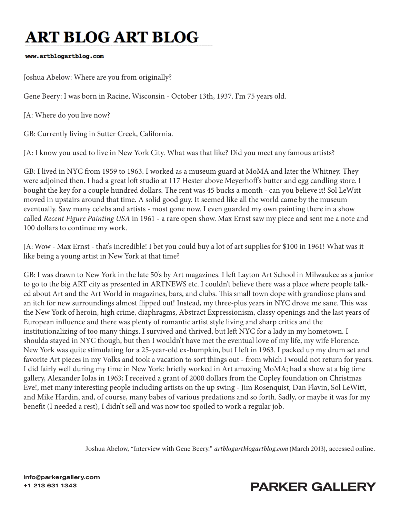# **ART BLOG ART BLOG**

#### www.artblogartblog.com

Joshua Abelow: Where are you from originally?

Gene Beery: I was born in Racine, Wisconsin - October 13th, 1937. I'm 75 years old.

JA: Where do you live now?

GB: Currently living in Sutter Creek, California.

JA: I know you used to live in New York City. What was that like? Did you meet any famous artists?

GB: I lived in NYC from 1959 to 1963. I worked as a museum guard at MoMA and later the Whitney. They were adjoined then. I had a great loft studio at 117 Hester above Meyerhoff's butter and egg candling store. I bought the key for a couple hundred dollars. The rent was 45 bucks a month - can you believe it! Sol LeWitt moved in upstairs around that time. A solid good guy. It seemed like all the world came by the museum eventually. Saw many celebs and artists - most gone now. I even guarded my own painting there in a show called *Recent Figure Painting USA* in 1961 - a rare open show. Max Ernst saw my piece and sent me a note and 100 dollars to continue my work.

JA: Wow - Max Ernst - that's incredible! I bet you could buy a lot of art supplies for \$100 in 1961! What was it like being a young artist in New York at that time?

GB: I was drawn to New York in the late 50's by Art magazines. I left Layton Art School in Milwaukee as a junior to go to the big ART city as presented in ARTNEWS etc. I couldn't believe there was a place where people talked about Art and the Art World in magazines, bars, and clubs. This small town dope with grandiose plans and an itch for new surroundings almost flipped out! Instead, my three-plus years in NYC drove me sane. This was the New York of heroin, high crime, diaphragms, Abstract Expressionism, classy openings and the last years of European influence and there was plenty of romantic artist style living and sharp critics and the institutionalizing of too many things. I survived and thrived, but left NYC for a lady in my hometown. I shoulda stayed in NYC though, but then I wouldn't have met the eventual love of my life, my wife Florence. New York was quite stimulating for a 25-year-old ex-bumpkin, but I left in 1963. I packed up my drum set and favorite Art pieces in my Volks and took a vacation to sort things out - from which I would not return for years. I did fairly well during my time in New York: briefly worked in Art amazing MoMA; had a show at a big time gallery, Alexander Iolas in 1963; I received a grant of 2000 dollars from the Copley foundation on Christmas Eve!, met many interesting people including artists on the up swing - Jim Rosenquist, Dan Flavin, Sol LeWitt, and Mike Hardin, and, of course, many babes of various predations and so forth. Sadly, or maybe it was for my benefit (I needed a rest), I didn't sell and was now too spoiled to work a regular job.

Joshua Abelow, "Interview with Gene Beery." *artblogartblogartblog.com* (March 2013), accessed online.

info@parkergallery.com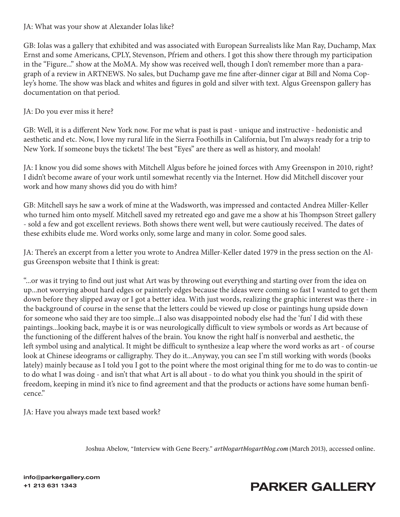### JA: What was your show at Alexander Iolas like?

GB: Iolas was a gallery that exhibited and was associated with European Surrealists like Man Ray, Duchamp, Max Ernst and some Americans, CPLY, Stevenson, Pfriem and others. I got this show there through my participation in the "Figure..." show at the MoMA. My show was received well, though I don't remember more than a paragraph of a review in ARTNEWS. No sales, but Duchamp gave me fine after-dinner cigar at Bill and Noma Copley's home. The show was black and whites and figures in gold and silver with text. Algus Greenspon gallery has documentation on that period.

### JA: Do you ever miss it here?

GB: Well, it is a different New York now. For me what is past is past - unique and instructive - hedonistic and aesthetic and etc. Now, I love my rural life in the Sierra Foothills in California, but I'm always ready for a trip to New York. If someone buys the tickets! The best "Eyes'' are there as well as history, and moolah!

JA: I know you did some shows with Mitchell Algus before he joined forces with Amy Greenspon in 2010, right? I didn't become aware of your work until somewhat recently via the Internet. How did Mitchell discover your work and how many shows did you do with him?

GB: Mitchell says he saw a work of mine at the Wadsworth, was impressed and contacted Andrea Miller-Keller who turned him onto myself. Mitchell saved my retreated ego and gave me a show at his Thompson Street gallery - sold a few and got excellent reviews. Both shows there went well, but were cautiously received. The dates of these exhibits elude me. Word works only, some large and many in color. Some good sales.

JA: There's an excerpt from a letter you wrote to Andrea Miller-Keller dated 1979 in the press section on the Algus Greenspon website that I think is great:

"...or was it trying to find out just what Art was by throwing out everything and starting over from the idea on up...not worrying about hard edges or painterly edges because the ideas were coming so fast I wanted to get them down before they slipped away or I got a better idea. With just words, realizing the graphic interest was there - in the background of course in the sense that the letters could be viewed up close or paintings hung upside down for someone who said they are too simple...I also was disappointed nobody else had the 'fun' I did with these paintings...looking back, maybe it is or was neurologically difficult to view symbols or words as Art because of the functioning of the different halves of the brain. You know the right half is nonverbal and aesthetic, the left symbol using and analytical. It might be difficult to synthesize a leap where the word works as art - of course look at Chinese ideograms or calligraphy. They do it...Anyway, you can see I'm still working with words (books lately) mainly because as I told you I got to the point where the most original thing for me to do was to contin-ue to do what I was doing - and isn't that what Art is all about - to do what you think you should in the spirit of freedom, keeping in mind it's nice to find agreement and that the products or actions have some human benficence."

JA: Have you always made text based work?

Joshua Abelow, "Interview with Gene Beery." *artblogartblogartblog.com* (March 2013), accessed online.

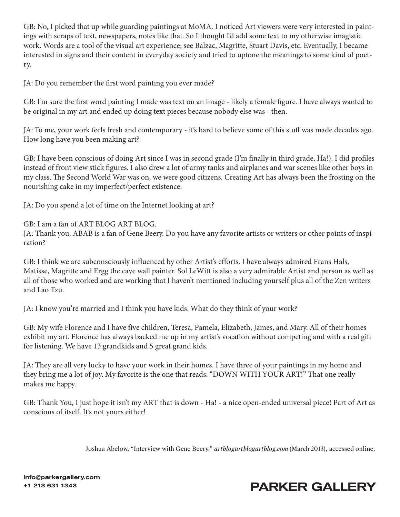GB: No, I picked that up while guarding paintings at MoMA. I noticed Art viewers were very interested in paintings with scraps of text, newspapers, notes like that. So I thought I'd add some text to my otherwise imagistic work. Words are a tool of the visual art experience; see Balzac, Magritte, Stuart Davis, etc. Eventually, I became interested in signs and their content in everyday society and tried to uptone the meanings to some kind of poetry.

JA: Do you remember the first word painting you ever made?

GB: I'm sure the first word painting I made was text on an image - likely a female figure. I have always wanted to be original in my art and ended up doing text pieces because nobody else was - then.

JA: To me, your work feels fresh and contemporary - it's hard to believe some of this stuff was made decades ago. How long have you been making art?

GB: I have been conscious of doing Art since I was in second grade (I'm finally in third grade, Ha!). I did profiles instead of front view stick figures. I also drew a lot of army tanks and airplanes and war scenes like other boys in my class. The Second World War was on, we were good citizens. Creating Art has always been the frosting on the nourishing cake in my imperfect/perfect existence.

JA: Do you spend a lot of time on the Internet looking at art?

GB: I am a fan of ART BLOG ART BLOG.

JA: Thank you. ABAB is a fan of Gene Beery. Do you have any favorite artists or writers or other points of inspiration?

GB: I think we are subconsciously influenced by other Artist's efforts. I have always admired Frans Hals, Matisse, Magritte and Ergg the cave wall painter. Sol LeWitt is also a very admirable Artist and person as well as all of those who worked and are working that I haven't mentioned including yourself plus all of the Zen writers and Lao Tzu.

JA: I know you're married and I think you have kids. What do they think of your work?

GB: My wife Florence and I have five children, Teresa, Pamela, Elizabeth, James, and Mary. All of their homes exhibit my art. Florence has always backed me up in my artist's vocation without competing and with a real gift for listening. We have 13 grandkids and 5 great grand kids.

JA: They are all very lucky to have your work in their homes. I have three of your paintings in my home and they bring me a lot of joy. My favorite is the one that reads: "DOWN WITH YOUR ART!" That one really makes me happy.

GB: Thank You, I just hope it isn't my ART that is down - Ha! - a nice open-ended universal piece! Part of Art as conscious of itself. It's not yours either!

Joshua Abelow, "Interview with Gene Beery." *artblogartblogartblog.com* (March 2013), accessed online.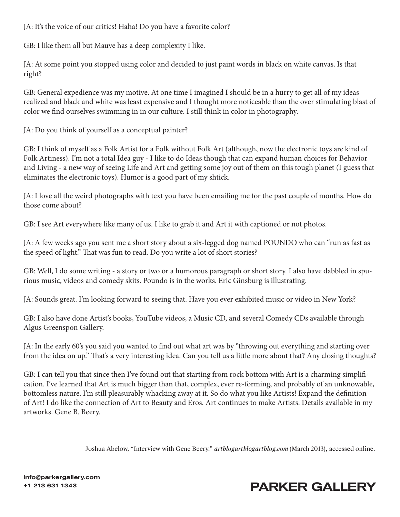JA: It's the voice of our critics! Haha! Do you have a favorite color?

GB: I like them all but Mauve has a deep complexity I like.

JA: At some point you stopped using color and decided to just paint words in black on white canvas. Is that right?

GB: General expedience was my motive. At one time I imagined I should be in a hurry to get all of my ideas realized and black and white was least expensive and I thought more noticeable than the over stimulating blast of color we find ourselves swimming in in our culture. I still think in color in photography.

JA: Do you think of yourself as a conceptual painter?

GB: I think of myself as a Folk Artist for a Folk without Folk Art (although, now the electronic toys are kind of Folk Artiness). I'm not a total Idea guy - I like to do Ideas though that can expand human choices for Behavior and Living - a new way of seeing Life and Art and getting some joy out of them on this tough planet (I guess that eliminates the electronic toys). Humor is a good part of my shtick.

JA: I love all the weird photographs with text you have been emailing me for the past couple of months. How do those come about?

GB: I see Art everywhere like many of us. I like to grab it and Art it with captioned or not photos.

JA: A few weeks ago you sent me a short story about a six-legged dog named POUNDO who can "run as fast as the speed of light." That was fun to read. Do you write a lot of short stories?

GB: Well, I do some writing - a story or two or a humorous paragraph or short story. I also have dabbled in spurious music, videos and comedy skits. Poundo is in the works. Eric Ginsburg is illustrating.

JA: Sounds great. I'm looking forward to seeing that. Have you ever exhibited music or video in New York?

GB: I also have done Artist's books, YouTube videos, a Music CD, and several Comedy CDs available through Algus Greenspon Gallery.

JA: In the early 60's you said you wanted to find out what art was by "throwing out everything and starting over from the idea on up." That's a very interesting idea. Can you tell us a little more about that? Any closing thoughts?

GB: I can tell you that since then I've found out that starting from rock bottom with Art is a charming simplification. I've learned that Art is much bigger than that, complex, ever re-forming, and probably of an unknowable, bottomless nature. I'm still pleasurably whacking away at it. So do what you like Artists! Expand the definition of Art! I do like the connection of Art to Beauty and Eros. Art continues to make Artists. Details available in my artworks. Gene B. Beery.

Joshua Abelow, "Interview with Gene Beery." *artblogartblogartblog.com* (March 2013), accessed online.

info@parkergallery.com